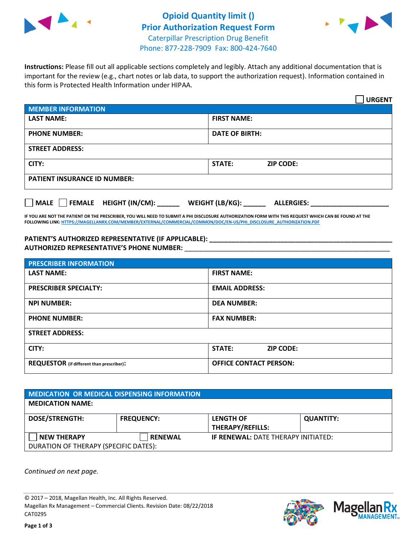



**Instructions:** Please fill out all applicable sections completely and legibly. Attach any additional documentation that is important for the review (e.g., chart notes or lab data, to support the authorization request). Information contained in this form is Protected Health Information under HIPAA.

|                                                                          | <b>URGENT</b>                     |  |  |  |
|--------------------------------------------------------------------------|-----------------------------------|--|--|--|
| <b>MEMBER INFORMATION</b>                                                |                                   |  |  |  |
| <b>LAST NAME:</b>                                                        | <b>FIRST NAME:</b>                |  |  |  |
| <b>PHONE NUMBER:</b>                                                     | <b>DATE OF BIRTH:</b>             |  |  |  |
| <b>STREET ADDRESS:</b>                                                   |                                   |  |  |  |
| CITY:                                                                    | <b>STATE:</b><br><b>ZIP CODE:</b> |  |  |  |
| <b>PATIENT INSURANCE ID NUMBER:</b>                                      |                                   |  |  |  |
| FEMALE HEIGHT (IN/CM):<br>  MALE<br>WEIGHT (LB/KG):<br><b>ALLERGIES:</b> |                                   |  |  |  |

**IF YOU ARE NOT THE PATIENT OR THE PRESCRIBER, YOU WILL NEED TO SUBMIT A PHI DISCLOSURE AUTHORIZATION FORM WITH THIS REQUEST WHICH CAN BE FOUND AT THE FOLLOWING LINK[: HTTPS://MAGELLANRX.COM/MEMBER/EXTERNAL/COMMERCIAL/COMMON/DOC/EN-US/PHI\\_DISCLOSURE\\_AUTHORIZATION.PDF](https://magellanrx.com/member/external/commercial/common/doc/en-us/PHI_Disclosure_Authorization.pdf)**

PATIENT'S AUTHORIZED REPRESENTATIVE (IF APPLICABLE): **\_\_\_\_\_\_\_\_\_\_\_\_\_\_\_\_\_\_\_\_\_ AUTHORIZED REPRESENTATIVE'S PHONE NUMBER:** \_\_\_\_\_\_\_\_\_\_\_\_\_\_\_\_\_\_\_\_\_\_\_\_\_\_\_\_\_\_\_\_\_\_\_\_\_\_\_\_\_\_\_\_\_\_\_\_\_\_\_\_\_\_\_

| <b>PRESCRIBER INFORMATION</b>             |                               |  |  |  |
|-------------------------------------------|-------------------------------|--|--|--|
| <b>LAST NAME:</b>                         | <b>FIRST NAME:</b>            |  |  |  |
| <b>PRESCRIBER SPECIALTY:</b>              | <b>EMAIL ADDRESS:</b>         |  |  |  |
| <b>NPI NUMBER:</b>                        | <b>DEA NUMBER:</b>            |  |  |  |
| <b>PHONE NUMBER:</b>                      | <b>FAX NUMBER:</b>            |  |  |  |
| <b>STREET ADDRESS:</b>                    |                               |  |  |  |
| CITY:                                     | STATE:<br><b>ZIP CODE:</b>    |  |  |  |
| REQUESTOR (if different than prescriber): | <b>OFFICE CONTACT PERSON:</b> |  |  |  |

| MEDICATION OR MEDICAL DISPENSING INFORMATION |                   |                                            |                  |  |  |
|----------------------------------------------|-------------------|--------------------------------------------|------------------|--|--|
| <b>MEDICATION NAME:</b>                      |                   |                                            |                  |  |  |
| <b>DOSE/STRENGTH:</b>                        | <b>FREQUENCY:</b> | <b>LENGTH OF</b>                           | <b>QUANTITY:</b> |  |  |
|                                              |                   | <b>THERAPY/REFILLS:</b>                    |                  |  |  |
| <b>NEW THERAPY</b>                           | <b>RENEWAL</b>    | <b>IF RENEWAL: DATE THERAPY INITIATED:</b> |                  |  |  |
| DURATION OF THERAPY (SPECIFIC DATES):        |                   |                                            |                  |  |  |

*Continued on next page.*

© 2017 – 2018, Magellan Health, Inc. All Rights Reserved. Magellan Rx Management – Commercial Clients. Revision Date: 08/22/2018 CAT0295



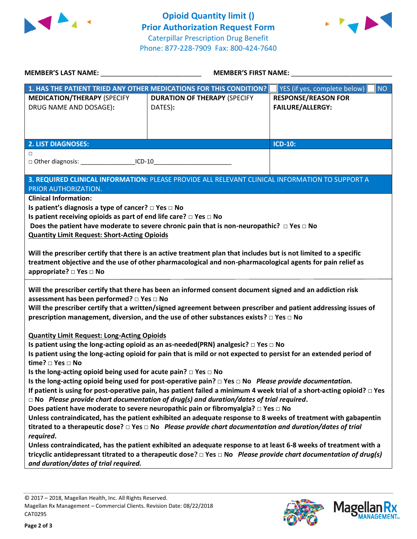



| MEMBER'S LAST NAME: NAME                                                                                                                                                                                                                                                                                                                                                            | <b>MEMBER'S FIRST NAME:</b>                                                                                       |                                           |  |  |
|-------------------------------------------------------------------------------------------------------------------------------------------------------------------------------------------------------------------------------------------------------------------------------------------------------------------------------------------------------------------------------------|-------------------------------------------------------------------------------------------------------------------|-------------------------------------------|--|--|
|                                                                                                                                                                                                                                                                                                                                                                                     | 1. HAS THE PATIENT TRIED ANY OTHER MEDICATIONS FOR THIS CONDITION?                                                | YES (if yes, complete below)<br><b>NO</b> |  |  |
| <b>MEDICATION/THERAPY (SPECIFY</b>                                                                                                                                                                                                                                                                                                                                                  | <b>DURATION OF THERAPY (SPECIFY</b>                                                                               | <b>RESPONSE/REASON FOR</b>                |  |  |
| DRUG NAME AND DOSAGE):                                                                                                                                                                                                                                                                                                                                                              | DATES):                                                                                                           | <b>FAILURE/ALLERGY:</b>                   |  |  |
|                                                                                                                                                                                                                                                                                                                                                                                     |                                                                                                                   |                                           |  |  |
|                                                                                                                                                                                                                                                                                                                                                                                     |                                                                                                                   |                                           |  |  |
|                                                                                                                                                                                                                                                                                                                                                                                     |                                                                                                                   |                                           |  |  |
| <b>2. LIST DIAGNOSES:</b>                                                                                                                                                                                                                                                                                                                                                           |                                                                                                                   | ICD-10:                                   |  |  |
| □<br>□ Other diagnosis: ____________________ICD-10__________________________________                                                                                                                                                                                                                                                                                                |                                                                                                                   |                                           |  |  |
|                                                                                                                                                                                                                                                                                                                                                                                     |                                                                                                                   |                                           |  |  |
|                                                                                                                                                                                                                                                                                                                                                                                     | 3. REQUIRED CLINICAL INFORMATION: PLEASE PROVIDE ALL RELEVANT CLINICAL INFORMATION TO SUPPORT A                   |                                           |  |  |
| <b>PRIOR AUTHORIZATION.</b>                                                                                                                                                                                                                                                                                                                                                         |                                                                                                                   |                                           |  |  |
| <b>Clinical Information:</b>                                                                                                                                                                                                                                                                                                                                                        |                                                                                                                   |                                           |  |  |
| Is patient's diagnosis a type of cancer? $\Box$ Yes $\Box$ No                                                                                                                                                                                                                                                                                                                       |                                                                                                                   |                                           |  |  |
| Is patient receiving opioids as part of end life care? □ Yes □ No                                                                                                                                                                                                                                                                                                                   |                                                                                                                   |                                           |  |  |
|                                                                                                                                                                                                                                                                                                                                                                                     | Does the patient have moderate to severe chronic pain that is non-neuropathic? $\Box$ Yes $\Box$ No               |                                           |  |  |
| <b>Quantity Limit Request: Short-Acting Opioids</b>                                                                                                                                                                                                                                                                                                                                 |                                                                                                                   |                                           |  |  |
|                                                                                                                                                                                                                                                                                                                                                                                     |                                                                                                                   |                                           |  |  |
|                                                                                                                                                                                                                                                                                                                                                                                     | Will the prescriber certify that there is an active treatment plan that includes but is not limited to a specific |                                           |  |  |
|                                                                                                                                                                                                                                                                                                                                                                                     | treatment objective and the use of other pharmacological and non-pharmacological agents for pain relief as        |                                           |  |  |
| appropriate? □ Yes □ No                                                                                                                                                                                                                                                                                                                                                             |                                                                                                                   |                                           |  |  |
| Will the prescriber certify that there has been an informed consent document signed and an addiction risk<br>assessment has been performed? □ Yes □ No<br>Will the prescriber certify that a written/signed agreement between prescriber and patient addressing issues of<br>prescription management, diversion, and the use of other substances exists? $\square$ Yes $\square$ No |                                                                                                                   |                                           |  |  |
|                                                                                                                                                                                                                                                                                                                                                                                     |                                                                                                                   |                                           |  |  |
| <b>Quantity Limit Request: Long-Acting Opioids</b><br>Is patient using the long-acting opioid as an as-needed(PRN) analgesic? $\Box$ Yes $\Box$ No                                                                                                                                                                                                                                  |                                                                                                                   |                                           |  |  |
| Is patient using the long-acting opioid for pain that is mild or not expected to persist for an extended period of                                                                                                                                                                                                                                                                  |                                                                                                                   |                                           |  |  |
| time? □ Yes □ No                                                                                                                                                                                                                                                                                                                                                                    |                                                                                                                   |                                           |  |  |
| Is the long-acting opioid being used for acute pain? $\Box$ Yes $\Box$ No                                                                                                                                                                                                                                                                                                           |                                                                                                                   |                                           |  |  |
| Is the long-acting opioid being used for post-operative pain? $\Box$ Yes $\Box$ No Please provide documentation.                                                                                                                                                                                                                                                                    |                                                                                                                   |                                           |  |  |
| If patient is using for post-operative pain, has patient failed a minimum 4 week trial of a short-acting opioid? $\Box$ Yes                                                                                                                                                                                                                                                         |                                                                                                                   |                                           |  |  |
| $\Box$ No Please provide chart documentation of drug(s) and duration/dates of trial required.                                                                                                                                                                                                                                                                                       |                                                                                                                   |                                           |  |  |
| Does patient have moderate to severe neuropathic pain or fibromyalgia? $\Box$ Yes $\Box$ No                                                                                                                                                                                                                                                                                         |                                                                                                                   |                                           |  |  |
| Unless contraindicated, has the patient exhibited an adequate response to 8 weeks of treatment with gabapentin                                                                                                                                                                                                                                                                      |                                                                                                                   |                                           |  |  |
| titrated to a therapeutic dose? $\Box$ Yes $\Box$ No Please provide chart documentation and duration/dates of trial                                                                                                                                                                                                                                                                 |                                                                                                                   |                                           |  |  |
| required.                                                                                                                                                                                                                                                                                                                                                                           |                                                                                                                   |                                           |  |  |
| Unless contraindicated, has the patient exhibited an adequate response to at least 6-8 weeks of treatment with a                                                                                                                                                                                                                                                                    |                                                                                                                   |                                           |  |  |
| tricyclic antidepressant titrated to a therapeutic dose? $\Box$ Yes $\Box$ No Please provide chart documentation of drug(s)                                                                                                                                                                                                                                                         |                                                                                                                   |                                           |  |  |
| and duration/dates of trial required.                                                                                                                                                                                                                                                                                                                                               |                                                                                                                   |                                           |  |  |
|                                                                                                                                                                                                                                                                                                                                                                                     |                                                                                                                   |                                           |  |  |

**Page 2 of 3**



**Magella** 

**JANAGEMENT**<sub>SM</sub>